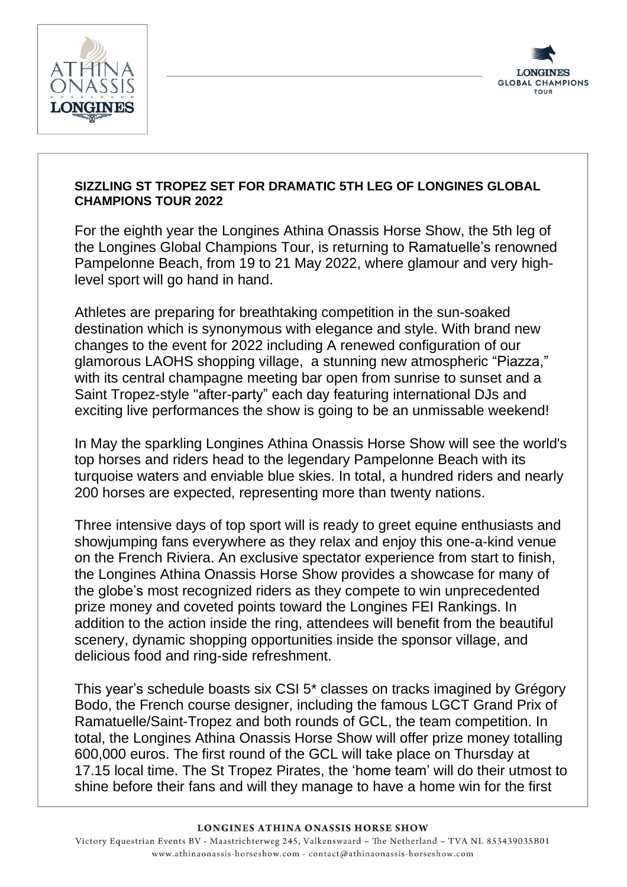



## **SIZZLING ST TROPEZ SET FOR DRAMATIC 5TH LEG OF LONGINES GLOBAL CHAMPIONS TOUR 2022**

For the eighth year the Longines Athina Onassis Horse Show, the 5th leg of the Longines Global Champions Tour, is returning to Ramatuelle's renowned Pampelonne Beach, from 19 to 21 May 2022, where glamour and very highlevel sport will go hand in hand.

Athletes are preparing for breathtaking competition in the sun-soaked destination which is synonymous with elegance and style. With brand new changes to the event for 2022 including A renewed configuration of our glamorous LAOHS shopping village, a stunning new atmospheric "Piazza," with its central champagne meeting bar open from sunrise to sunset and a Saint Tropez-style "after-party" each day featuring international DJs and exciting live performances the show is going to be an unmissable weekend!

In May the sparkling Longines Athina Onassis Horse Show will see the world's top horses and riders head to the legendary Pampelonne Beach with its turquoise waters and enviable blue skies. In total, a hundred riders and nearly 200 horses are expected, representing more than twenty nations.

Three intensive days of top sport will is ready to greet equine enthusiasts and showjumping fans everywhere as they relax and enjoy this one-a-kind venue on the French Riviera. An exclusive spectator experience from start to finish, the Longines Athina Onassis Horse Show provides a showcase for many of the globe's most recognized riders as they compete to win unprecedented prize money and coveted points toward the Longines FEI Rankings. In addition to the action inside the ring, attendees will benefit from the beautiful scenery, dynamic shopping opportunities inside the sponsor village, and delicious food and ring-side refreshment.

This year's schedule boasts six CSI 5\* classes on tracks imagined by Grégory Bodo, the French course designer, including the famous LGCT Grand Prix of Ramatuelle/Saint-Tropez and both rounds of GCL, the team competition. In total, the Longines Athina Onassis Horse Show will offer prize money totalling 600,000 euros. The first round of the GCL will take place on Thursday at 17.15 local time. The St Tropez Pirates, the 'home team' will do their utmost to shine before their fans and will they manage to have a home win for the first